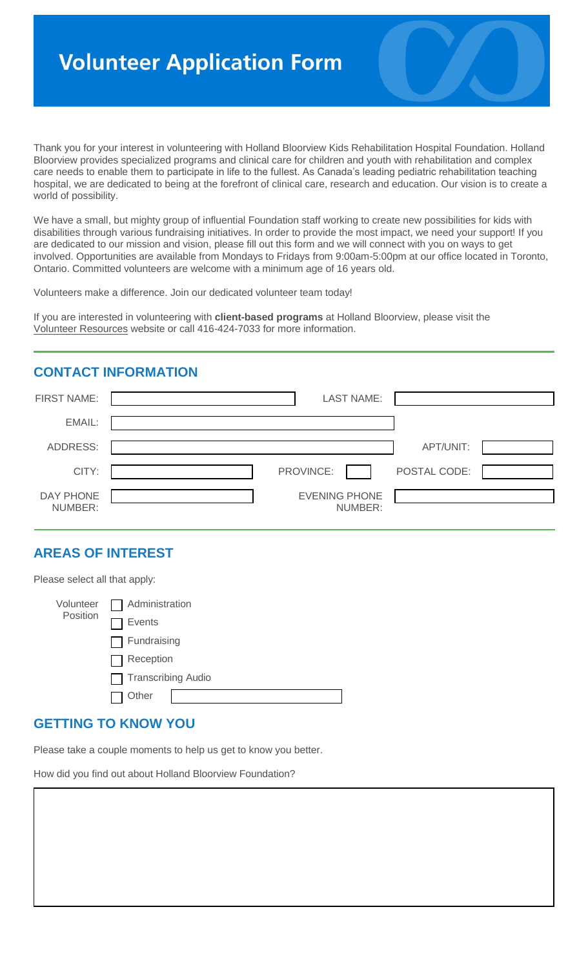# **Volunteer Application Form**

Thank you for your interest in volunteering with Holland Bloorview Kids Rehabilitation Hospital Foundation. Holland Bloorview provides specialized programs and clinical care for children and youth with rehabilitation and complex care needs to enable them to participate in life to the fullest. As Canada's leading pediatric rehabilitation teaching hospital, we are dedicated to being at the forefront of clinical care, research and education. Our vision is to create a world of possibility.

We have a small, but mighty group of influential Foundation staff working to create new possibilities for kids with disabilities through various fundraising initiatives. In order to provide the most impact, we need your support! If you are dedicated to our mission and vision, please fill out this form and we will connect with you on ways to get involved. Opportunities are available from Mondays to Fridays from 9:00am-5:00pm at our office located in Toronto, Ontario. Committed volunteers are welcome with a minimum age of 16 years old.

Volunteers make a difference. Join our dedicated volunteer team today!

If you are interested in volunteering with **client-based programs** at Holland Bloorview, please visit the [Volunteer Resources](http://hollandbloorview.ca/Careers/Volunteeringwithus/Home) website or call 416-424-7033 for more information.

## **CONTACT INFORMATION**

| FIRST NAME:          | <b>LAST NAME:</b>               |              |
|----------------------|---------------------------------|--------------|
| EMAIL:               |                                 |              |
| <b>ADDRESS:</b>      |                                 | APT/UNIT:    |
| CITY:                | PROVINCE:                       | POSTAL CODE: |
| DAY PHONE<br>NUMBER: | <b>EVENING PHONE</b><br>NUMBER: |              |

## **AREAS OF INTEREST**

Please select all that apply:

| Volunteer<br>Position | $\Box$ Administration |
|-----------------------|-----------------------|
|                       | <b>Events</b>         |
|                       | $\Box$ Fundraising    |
|                       | $\Box$ Reception      |
|                       | Transcribing Audio    |
|                       | Other                 |

#### **GETTING TO KNOW YOU**

Please take a couple moments to help us get to know you better.

How did you find out about Holland Bloorview Foundation?